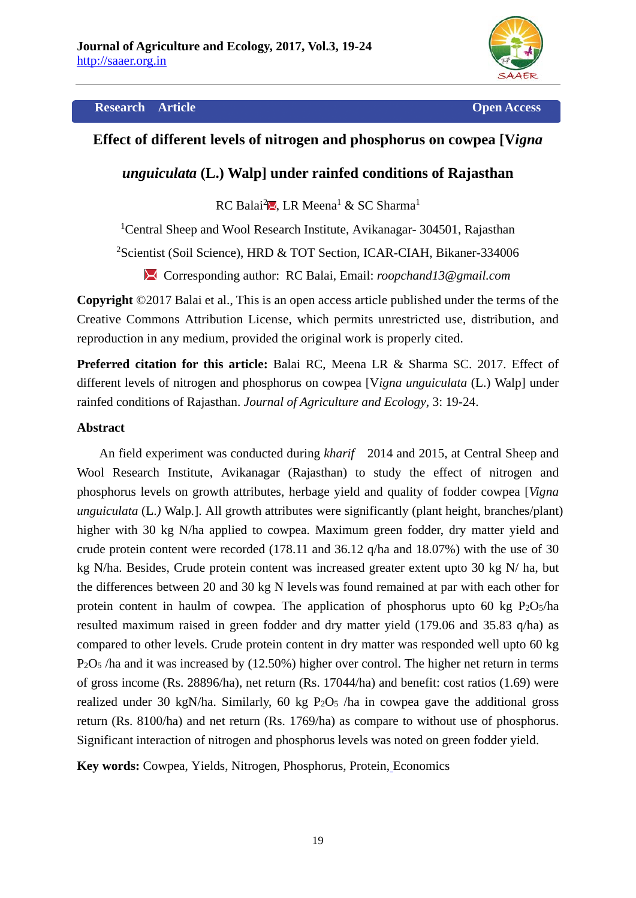

## **Research Article Open Access**

# **Effect of different levels of nitrogen and phosphorus on cowpea [V***igna*

# *unguiculata* **(L.) Walp] under rainfed conditions of Rajasthan**

RC Balai<sup>2</sup> , LR Meena<sup>1</sup> & SC Sharma<sup>1</sup>

<sup>1</sup>Central Sheep and Wool Research Institute, Avikanagar- 304501, Rajasthan

2 Scientist (Soil Science), HRD & TOT Section, ICAR-CIAH, Bikaner-334006

Corresponding author: RC Balai, Email: *roopchand13@gmail.com*

**Copyright** ©2017 Balai et al., This is an open access article published under the terms of the Creative Commons Attribution License, which permits unrestricted use, distribution, and reproduction in any medium, provided the original work is properly cited.

**Preferred citation for this article:** Balai RC, Meena LR & Sharma SC. 2017. Effect of different levels of nitrogen and phosphorus on cowpea [V*igna unguiculata* (L.) Walp] under rainfed conditions of Rajasthan. *Journal of Agriculture and Ecology*, 3: 19-24.

# **Abstract**

An field experiment was conducted during *kharif* 2014 and 2015, at Central Sheep and Wool Research Institute, Avikanagar (Rajasthan) to study the effect of nitrogen and phosphorus levels on growth attributes, herbage yield and quality of fodder cowpea [*Vigna unguiculata* (L.*)* Walp*.*]. All growth attributes were significantly (plant height, branches/plant) higher with 30 kg N/ha applied to cowpea. Maximum green fodder, dry matter yield and crude protein content were recorded (178.11 and 36.12 q/ha and 18.07%) with the use of 30 kg N/ha. Besides, Crude protein content was increased greater extent upto 30 kg N/ ha, but the differences between 20 and 30 kg N levels was found remained at par with each other for protein content in haulm of cowpea. The application of phosphorus upto 60 kg P2O5/ha resulted maximum raised in green fodder and dry matter yield (179.06 and 35.83 q/ha) as compared to other levels. Crude protein content in dry matter was responded well upto 60 kg P2O5 /ha and it was increased by (12.50%) higher over control. The higher net return in terms of gross income (Rs. 28896/ha), net return (Rs. 17044/ha) and benefit: cost ratios (1.69) were realized under 30 kgN/ha. Similarly, 60 kg  $P_2O_5$  /ha in cowpea gave the additional gross return (Rs. 8100/ha) and net return (Rs. 1769/ha) as compare to without use of phosphorus. Significant interaction of nitrogen and phosphorus levels was noted on green fodder yield.

**Key words:** Cowpea, Yields, Nitrogen, Phosphorus, Protein, Economics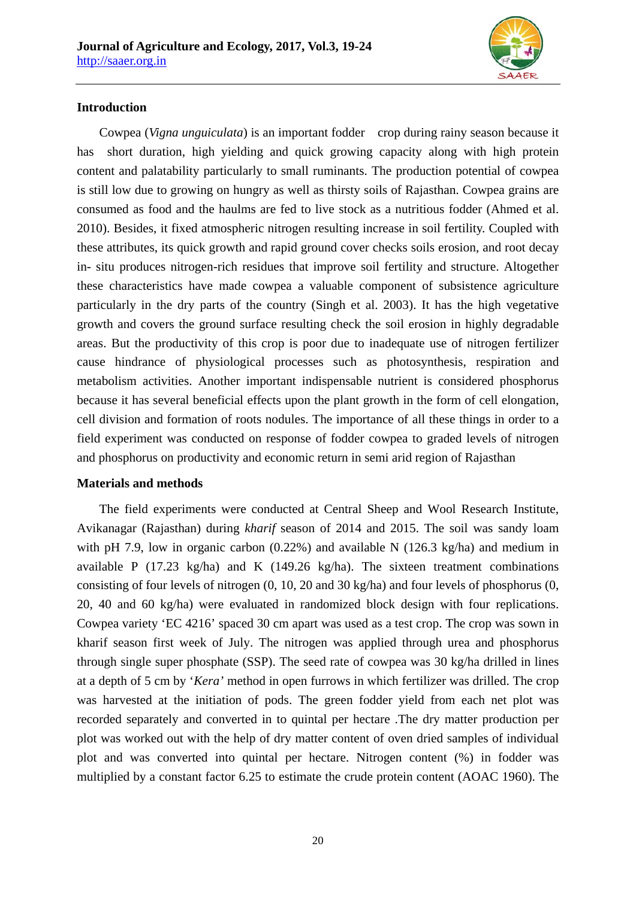

# **Introduction**

Cowpea (*Vigna unguiculata*) is an important fodder crop during rainy season because it has short duration, high yielding and quick growing capacity along with high protein content and palatability particularly to small ruminants. The production potential of cowpea is still low due to growing on hungry as well as thirsty soils of Rajasthan. Cowpea grains are consumed as food and the haulms are fed to live stock as a nutritious fodder (Ahmed et al. 2010). Besides, it fixed atmospheric nitrogen resulting increase in soil fertility. Coupled with these attributes, its quick growth and rapid ground cover checks soils erosion, and root decay in- situ produces nitrogen-rich residues that improve soil fertility and structure. Altogether these characteristics have made cowpea a valuable component of subsistence agriculture particularly in the dry parts of the country (Singh et al. 2003). It has the high vegetative growth and covers the ground surface resulting check the soil erosion in highly degradable areas. But the productivity of this crop is poor due to inadequate use of nitrogen fertilizer cause hindrance of physiological processes such as photosynthesis, respiration and metabolism activities. Another important indispensable nutrient is considered phosphorus because it has several beneficial effects upon the plant growth in the form of cell elongation, cell division and formation of roots nodules. The importance of all these things in order to a field experiment was conducted on response of fodder cowpea to graded levels of nitrogen and phosphorus on productivity and economic return in semi arid region of Rajasthan

#### **Materials and methods**

The field experiments were conducted at Central Sheep and Wool Research Institute, Avikanagar (Rajasthan) during *kharif* season of 2014 and 2015. The soil was sandy loam with pH 7.9, low in organic carbon (0.22%) and available N (126.3 kg/ha) and medium in available P (17.23 kg/ha) and K (149.26 kg/ha). The sixteen treatment combinations consisting of four levels of nitrogen (0, 10, 20 and 30 kg/ha) and four levels of phosphorus (0, 20, 40 and 60 kg/ha) were evaluated in randomized block design with four replications. Cowpea variety 'EC 4216' spaced 30 cm apart was used as a test crop. The crop was sown in kharif season first week of July. The nitrogen was applied through urea and phosphorus through single super phosphate (SSP). The seed rate of cowpea was 30 kg/ha drilled in lines at a depth of 5 cm by '*Kera'* method in open furrows in which fertilizer was drilled. The crop was harvested at the initiation of pods. The green fodder yield from each net plot was recorded separately and converted in to quintal per hectare .The dry matter production per plot was worked out with the help of dry matter content of oven dried samples of individual plot and was converted into quintal per hectare. Nitrogen content (%) in fodder was multiplied by a constant factor 6.25 to estimate the crude protein content (AOAC 1960). The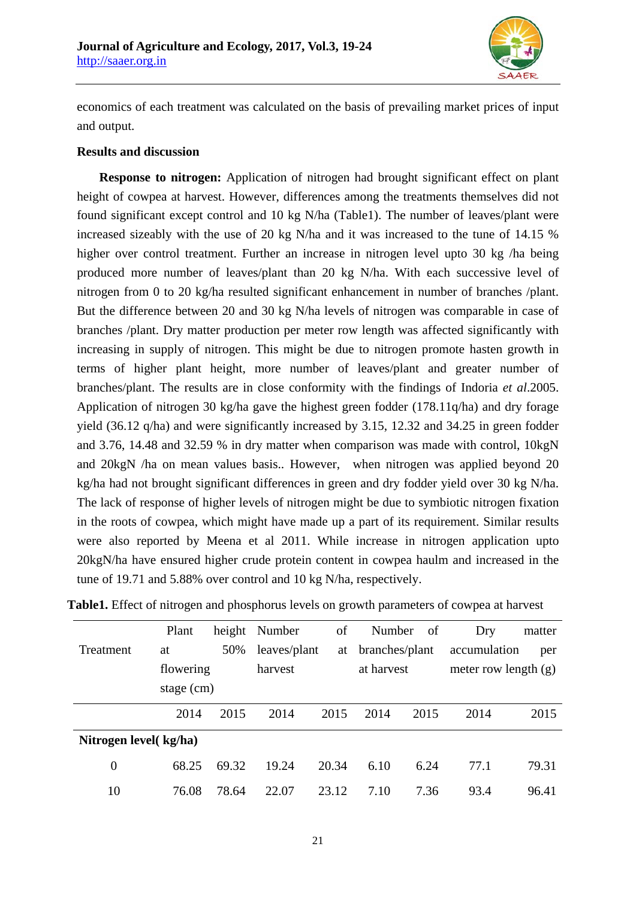

economics of each treatment was calculated on the basis of prevailing market prices of input and output.

## **Results and discussion**

**Response to nitrogen:** Application of nitrogen had brought significant effect on plant height of cowpea at harvest. However, differences among the treatments themselves did not found significant except control and 10 kg N/ha (Table1). The number of leaves/plant were increased sizeably with the use of 20 kg N/ha and it was increased to the tune of 14.15 % higher over control treatment. Further an increase in nitrogen level upto 30 kg /ha being produced more number of leaves/plant than 20 kg N/ha. With each successive level of nitrogen from 0 to 20 kg/ha resulted significant enhancement in number of branches /plant. But the difference between 20 and 30 kg N/ha levels of nitrogen was comparable in case of branches /plant. Dry matter production per meter row length was affected significantly with increasing in supply of nitrogen. This might be due to nitrogen promote hasten growth in terms of higher plant height, more number of leaves/plant and greater number of branches/plant. The results are in close conformity with the findings of Indoria *et al*.2005. Application of nitrogen 30 kg/ha gave the highest green fodder (178.11q/ha) and dry forage yield (36.12 q/ha) and were significantly increased by 3.15, 12.32 and 34.25 in green fodder and 3.76, 14.48 and 32.59 % in dry matter when comparison was made with control, 10kgN and 20kgN /ha on mean values basis.. However, when nitrogen was applied beyond 20 kg/ha had not brought significant differences in green and dry fodder yield over 30 kg N/ha. The lack of response of higher levels of nitrogen might be due to symbiotic nitrogen fixation in the roots of cowpea, which might have made up a part of its requirement. Similar results were also reported by Meena et al 2011. While increase in nitrogen application upto 20kgN/ha have ensured higher crude protein content in cowpea haulm and increased in the tune of 19.71 and 5.88% over control and 10 kg N/ha, respectively.

|                        | Plant        | height | Number       | οf    | Number         | of   | Dry                    | matter |
|------------------------|--------------|--------|--------------|-------|----------------|------|------------------------|--------|
| <b>Treatment</b>       | at           | 50%    | leaves/plant | at    | branches/plant |      | accumulation           | per    |
|                        | flowering    |        | harvest      |       | at harvest     |      | meter row length $(g)$ |        |
|                        | stage $(cm)$ |        |              |       |                |      |                        |        |
|                        | 2014         | 2015   | 2014         | 2015  | 2014           | 2015 | 2014                   | 2015   |
| Nitrogen level (kg/ha) |              |        |              |       |                |      |                        |        |
| $\boldsymbol{0}$       | 68.25        | 69.32  | 19.24        | 20.34 | 6.10           | 6.24 | 77.1                   | 79.31  |
| 10                     | 76.08        | 78.64  | 22.07        | 23.12 | 7.10           | 7.36 | 93.4                   | 96.41  |

**Table1.** Effect of nitrogen and phosphorus levels on growth parameters of cowpea at harvest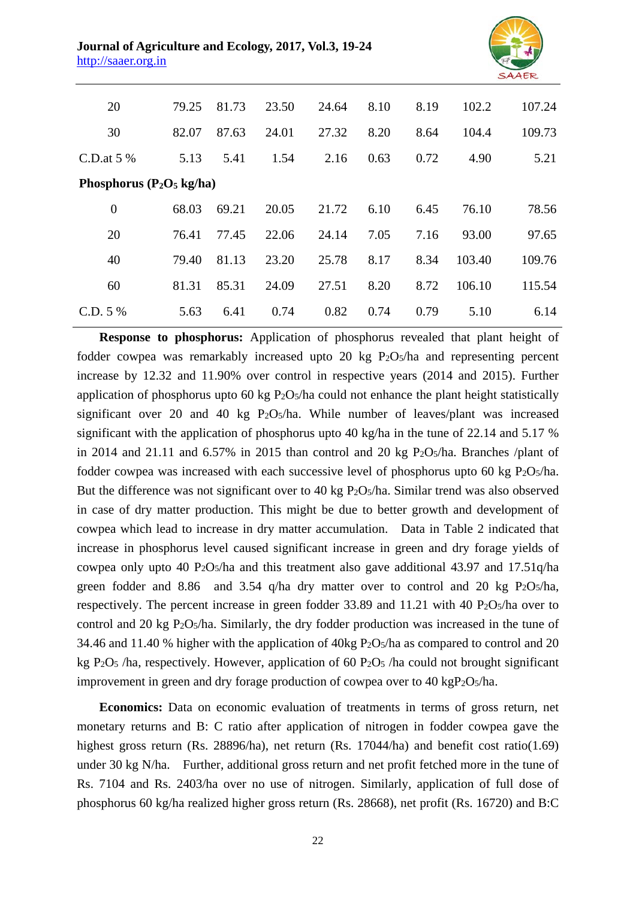

| 20                           | 79.25 | 81.73 | 23.50 | 24.64 | 8.10 | 8.19 | 102.2  | 107.24 |  |
|------------------------------|-------|-------|-------|-------|------|------|--------|--------|--|
| 30                           | 82.07 | 87.63 | 24.01 | 27.32 | 8.20 | 8.64 | 104.4  | 109.73 |  |
| C.D.at $5\%$                 | 5.13  | 5.41  | 1.54  | 2.16  | 0.63 | 0.72 | 4.90   | 5.21   |  |
| Phosphorus ( $P_2O_5$ kg/ha) |       |       |       |       |      |      |        |        |  |
| $\overline{0}$               | 68.03 | 69.21 | 20.05 | 21.72 | 6.10 | 6.45 | 76.10  | 78.56  |  |
| 20                           | 76.41 | 77.45 | 22.06 | 24.14 | 7.05 | 7.16 | 93.00  | 97.65  |  |
| 40                           | 79.40 | 81.13 | 23.20 | 25.78 | 8.17 | 8.34 | 103.40 | 109.76 |  |
| 60                           | 81.31 | 85.31 | 24.09 | 27.51 | 8.20 | 8.72 | 106.10 | 115.54 |  |
| C.D. 5 %                     | 5.63  | 6.41  | 0.74  | 0.82  | 0.74 | 0.79 | 5.10   | 6.14   |  |

**Response to phosphorus:** Application of phosphorus revealed that plant height of fodder cowpea was remarkably increased upto 20 kg P2O5/ha and representing percent increase by 12.32 and 11.90% over control in respective years (2014 and 2015). Further application of phosphorus upto 60 kg  $P_2O<sub>5</sub>/ha$  could not enhance the plant height statistically significant over 20 and 40 kg P2O5/ha. While number of leaves/plant was increased significant with the application of phosphorus upto 40 kg/ha in the tune of 22.14 and 5.17 % in 2014 and 21.11 and  $6.57\%$  in 2015 than control and 20 kg P<sub>2</sub>O<sub>5</sub>/ha. Branches /plant of fodder cowpea was increased with each successive level of phosphorus upto 60 kg  $P_2O_5/ha$ . But the difference was not significant over to 40 kg P2O5/ha. Similar trend was also observed in case of dry matter production. This might be due to better growth and development of cowpea which lead to increase in dry matter accumulation. Data in Table 2 indicated that increase in phosphorus level caused significant increase in green and dry forage yields of cowpea only upto 40 P2O5/ha and this treatment also gave additional 43.97 and 17.51q/ha green fodder and 8.86 and 3.54 q/ha dry matter over to control and 20 kg  $P_2O_5/ha$ , respectively. The percent increase in green fodder  $33.89$  and  $11.21$  with  $40$  P<sub>2</sub>O<sub>5</sub>/ha over to control and 20 kg P2O5/ha. Similarly, the dry fodder production was increased in the tune of 34.46 and 11.40 % higher with the application of 40kg P2O5/ha as compared to control and 20 kg P<sub>2</sub>O<sub>5</sub> /ha, respectively. However, application of 60 P<sub>2</sub>O<sub>5</sub> /ha could not brought significant improvement in green and dry forage production of cowpea over to 40 kgP<sub>2</sub>O<sub>5</sub>/ha.

**Economics:** Data on economic evaluation of treatments in terms of gross return, net monetary returns and B: C ratio after application of nitrogen in fodder cowpea gave the highest gross return (Rs. 28896/ha), net return (Rs. 17044/ha) and benefit cost ratio(1.69) under 30 kg N/ha. Further, additional gross return and net profit fetched more in the tune of Rs. 7104 and Rs. 2403/ha over no use of nitrogen. Similarly, application of full dose of phosphorus 60 kg/ha realized higher gross return (Rs. 28668), net profit (Rs. 16720) and B:C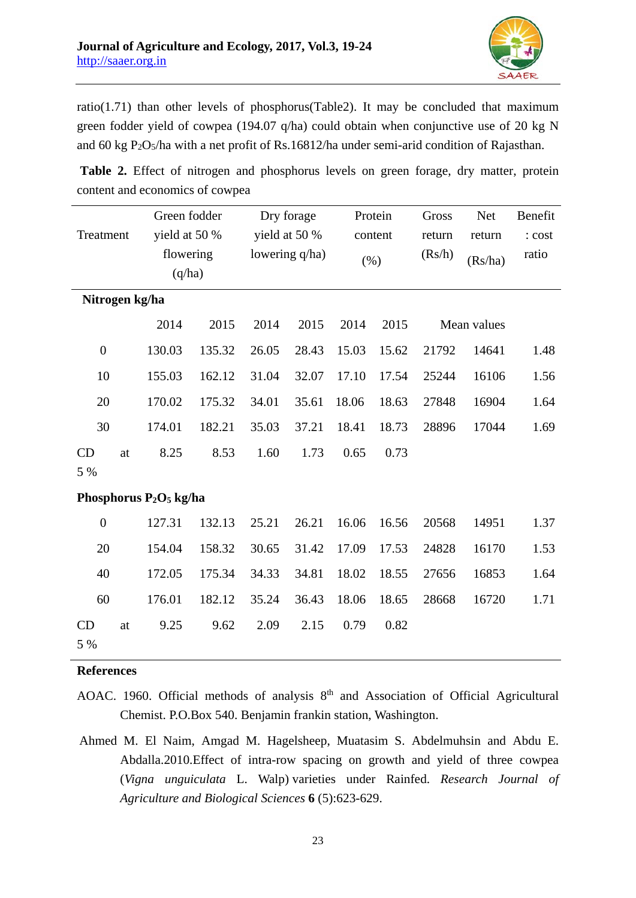

ratio(1.71) than other levels of phosphorus(Table2). It may be concluded that maximum green fodder yield of cowpea (194.07 q/ha) could obtain when conjunctive use of 20 kg N and 60 kg P2O5/ha with a net profit of Rs.16812/ha under semi-arid condition of Rajasthan.

| Treatment                 |    | Green fodder<br>yield at 50 %<br>flowering<br>(q/ha) |        | Dry forage<br>yield at 50 %<br>lowering q/ha) |       | Protein<br>content<br>$(\% )$ |       | Gross<br>return<br>(Rs/h) | <b>Net</b><br>return<br>(Rs/ha) | Benefit<br>: cost<br>ratio |
|---------------------------|----|------------------------------------------------------|--------|-----------------------------------------------|-------|-------------------------------|-------|---------------------------|---------------------------------|----------------------------|
| Nitrogen kg/ha            |    |                                                      |        |                                               |       |                               |       |                           |                                 |                            |
|                           |    | 2014                                                 | 2015   | 2014                                          | 2015  | 2014                          | 2015  |                           | Mean values                     |                            |
| $\overline{0}$            |    | 130.03                                               | 135.32 | 26.05                                         | 28.43 | 15.03                         | 15.62 | 21792                     | 14641                           | 1.48                       |
| 10                        |    | 155.03                                               | 162.12 | 31.04                                         | 32.07 | 17.10                         | 17.54 | 25244                     | 16106                           | 1.56                       |
| 20                        |    | 170.02                                               | 175.32 | 34.01                                         | 35.61 | 18.06                         | 18.63 | 27848                     | 16904                           | 1.64                       |
| 30                        |    | 174.01                                               | 182.21 | 35.03                                         | 37.21 | 18.41                         | 18.73 | 28896                     | 17044                           | 1.69                       |
| CD<br>5 %                 | at | 8.25                                                 | 8.53   | 1.60                                          | 1.73  | 0.65                          | 0.73  |                           |                                 |                            |
|                           |    |                                                      |        |                                               |       |                               |       |                           |                                 |                            |
| Phosphorus $P_2O_5$ kg/ha |    |                                                      |        |                                               |       |                               |       |                           |                                 |                            |
| $\overline{0}$            |    | 127.31                                               | 132.13 | 25.21                                         | 26.21 | 16.06                         | 16.56 | 20568                     | 14951                           | 1.37                       |
| 20                        |    | 154.04                                               | 158.32 | 30.65                                         | 31.42 | 17.09                         | 17.53 | 24828                     | 16170                           | 1.53                       |
| 40                        |    | 172.05                                               | 175.34 | 34.33                                         | 34.81 | 18.02                         | 18.55 | 27656                     | 16853                           | 1.64                       |
| 60                        |    | 176.01                                               | 182.12 | 35.24                                         | 36.43 | 18.06                         | 18.65 | 28668                     | 16720                           | 1.71                       |
| CD<br>5 %                 | at | 9.25                                                 | 9.62   | 2.09                                          | 2.15  | 0.79                          | 0.82  |                           |                                 |                            |

 **Table 2.** Effect of nitrogen and phosphorus levels on green forage, dry matter, protein content and economics of cowpea

## **References**

- AOAC. 1960. Official methods of analysis  $8<sup>th</sup>$  and Association of Official Agricultural Chemist. P.O.Box 540. Benjamin frankin station, Washington.
- Ahmed M. El Naim, Amgad M. Hagelsheep, Muatasim S. Abdelmuhsin and Abdu E. Abdalla.2010.Effect of intra-row spacing on growth and yield of three cowpea (*Vigna unguiculata* L. Walp) varieties under Rainfed. *Research Journal of Agriculture and Biological Sciences* **6** (5):623-629.